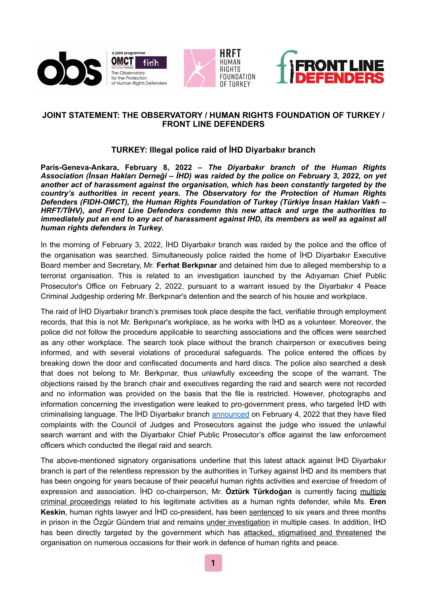





## **JOINT STATEMENT: THE OBSERVATORY / HUMAN RIGHTS FOUNDATION OF TURKEY / FRONT LINE DEFENDERS**

## **TURKEY: Illegal police raid of İHD Diyarbakır branch**

**Paris-Geneva-Ankara, February 8, 2022 –** *The Diyarbakır branch of the Human Rights Association (İnsan Hakları Derneği – İHD) was raided by the police on February 3, 2022, on yet another act of harassment against the organisation, which has been constantly targeted by the country's authorities in recent years. The Observatory for the Protection of Human Rights Defenders (FIDH-OMCT), the Human Rights Foundation of Turkey (Türkiye İnsan Hakları Vakfı – HRFT/TİHV), and Front Line Defenders condemn this new attack and urge the authorities to immediately put an end to any act of harassment against IHD, its members as well as against all human rights defenders in Turkey.*

In the morning of February 3, 2022, İHD Diyarbakır branch was raided by the police and the office of the organisation was searched. Simultaneously police raided the home of İHD Diyarbakır Executive Board member and Secretary, Mr. **Ferhat Berkpınar** and detained him due to alleged membership to a terrorist organisation. This is related to an investigation launched by the Adıyaman Chief Public Prosecutor's Office on February 2, 2022, pursuant to a warrant issued by the Diyarbakır 4 Peace Criminal Judgeship ordering Mr. Berkpınar's detention and the search of his house and workplace.

The raid of İHD Diyarbakır branch's premises took place despite the fact, verifiable through employment records, that this is not Mr. Berkpınar's workplace, as he works with İHD as a volunteer. Moreover, the police did not follow the procedure applicable to searching associations and the offices were searched as any other workplace. The search took place without the branch chairperson or executives being informed, and with several violations of procedural safeguards. The police entered the offices by breaking down the door and confiscated documents and hard discs. The police also searched a desk that does not belong to Mr. Berkpınar, thus unlawfully exceeding the scope of the warrant. The objections raised by the branch chair and executives regarding the raid and search were not recorded and no information was provided on the basis that the file is restricted. However, photographs and information concerning the investigation were leaked to pro-government press, who targeted İHD with criminalising language. The İHD Diyarbakır branch [announced](https://ihddiyarbakir.org/tr/post/24524/ihd-hepimizin-kapisidir) on February 4, 2022 that they have filed complaints with the Council of Judges and Prosecutors against the judge who issued the unlawful search warrant and with the Diyarbakır Chief Public Prosecutor's office against the law enforcement officers which conducted the illegal raid and search.

The above-mentioned signatory organisations underline that this latest attack against İHD Diyarbakır branch is part of the relentless repression by the authorities in Turkey against İHD and its members that has been ongoing for years because of their peaceful human rights activities and exercise of freedom of expression and association. İHD co-chairperson, Mr. **Öztürk Türkdoğan** is currently facing [multiple](https://www.omct.org/en/resources/urgent-interventions/turkey-judicial-harassment-against-mr-%25C3%25B6zt%25C3%25BCrk-t%25C3%25BCrkdo%25C4%259Fan)  [criminal proceedings](https://www.omct.org/en/resources/urgent-interventions/turkey-judicial-harassment-against-mr-%25C3%25B6zt%25C3%25BCrk-t%25C3%25BCrkdo%25C4%259Fan) related to his legitimate activities as a human rights defender, while Ms. **Eren Keskin**, human rights lawyer and İHD co-president, has been [sentenced](https://www.frontlinedefenders.org/en/case/woman-human-rights-defender-eren-keskin-sentenced) to six years and three months in prison in the Özgür Gündem trial and remains [under investigation](https://www.fidh.org/en/issues/human-rights-defenders/turkey-ongoing-judicial-harassment-of-human-rights-lawyer-eren-keskin) in multiple cases. In addition, İHD has been directly targeted by the government which has [attacked, stigmatised and threatened](https://www.fidh.org/en/region/europe-central-asia/turkey/turkey-stigmatisation-and-targeting-of-the-human-rights-association) the organisation on numerous occasions for their work in defence of human rights and peace.